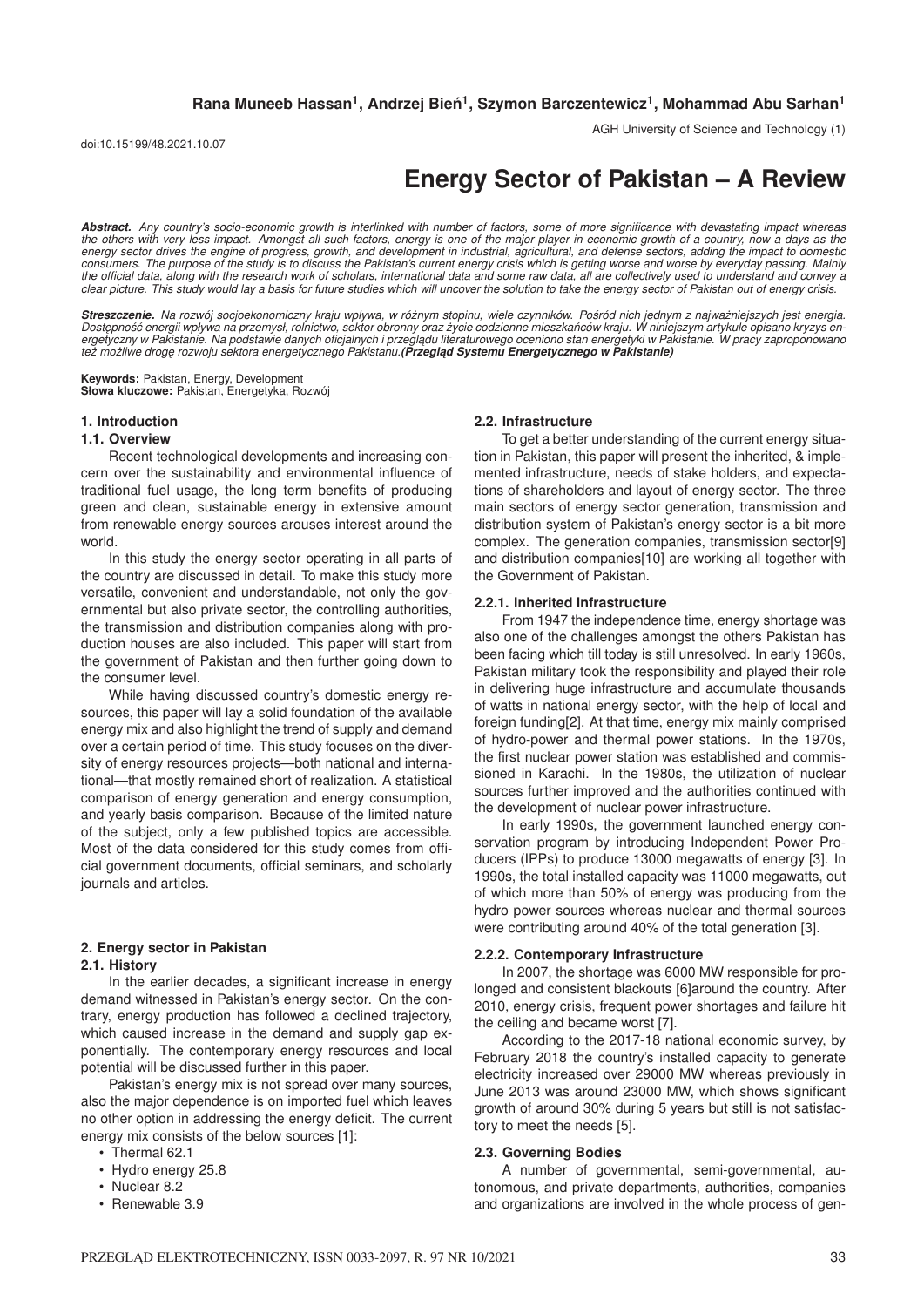doi:10.15199/48.2021.10.07

AGH University of Science and Technology (1)

# **Energy Sector of Pakistan – A Review**

*Abstract. Any country's socio-economic growth is interlinked with number of factors, some of more significance with devastating impact whereas the others with very less impact. Amongst all such factors, energy is one of the major player in economic growth of a country, now a days as the energy sector drives the engine of progress, growth, and development in industrial, agricultural, and defense sectors, adding the impact to domestic consumers. The purpose of the study is to discuss the Pakistan's current energy crisis which is getting worse and worse by everyday passing. Mainly the official data, along with the research work of scholars, international data and some raw data, all are collectively used to understand and convey a clear picture. This study would lay a basis for future studies which will uncover the solution to take the energy sector of Pakistan out of energy crisis.*

*Streszczenie. Na rozwój socjoekonomiczny kraju wpływa, w róznym stopinu, wiele czynników. Po ˙ sród nich jednym z najwa ´ zniejszych jest energia. ˙* Dostępność energii wpływa na przemysł, rolnictwo, sektor obronny oraz życie codzienne mieszkańców kraju. W niniejszym artykule opisano kryzys en<br>ergetyczny w Pakistanie. Na podstawie danych oficjalnych i przeglądu literatu *tez mo ˙ zliwe drog ˛ ˙ e rozwoju sektora energetycznego Pakistanu.(Przegl ˛ad Systemu Energetycznego w Pakistanie)*

**Keywords:** Pakistan, Energy, Development **Słowa kluczowe:** Pakistan, Energetyka, Rozwój

## **1. Introduction**

#### **1.1. Overview**

Recent technological developments and increasing concern over the sustainability and environmental influence of traditional fuel usage, the long term benefits of producing green and clean, sustainable energy in extensive amount from renewable energy sources arouses interest around the world.

In this study the energy sector operating in all parts of the country are discussed in detail. To make this study more versatile, convenient and understandable, not only the governmental but also private sector, the controlling authorities, the transmission and distribution companies along with production houses are also included. This paper will start from the government of Pakistan and then further going down to the consumer level.

While having discussed country's domestic energy resources, this paper will lay a solid foundation of the available energy mix and also highlight the trend of supply and demand over a certain period of time. This study focuses on the diversity of energy resources projects—both national and international—that mostly remained short of realization. A statistical comparison of energy generation and energy consumption, and yearly basis comparison. Because of the limited nature of the subject, only a few published topics are accessible. Most of the data considered for this study comes from official government documents, official seminars, and scholarly journals and articles.

# **2. Energy sector in Pakistan**

#### **2.1. History**

In the earlier decades, a significant increase in energy demand witnessed in Pakistan's energy sector. On the contrary, energy production has followed a declined trajectory, which caused increase in the demand and supply gap exponentially. The contemporary energy resources and local potential will be discussed further in this paper.

Pakistan's energy mix is not spread over many sources, also the major dependence is on imported fuel which leaves no other option in addressing the energy deficit. The current energy mix consists of the below sources [1]:

- Thermal 62.1
- Hydro energy 25.8
- Nuclear 8.2
- Renewable 3.9

#### **2.2. Infrastructure**

To get a better understanding of the current energy situation in Pakistan, this paper will present the inherited, & implemented infrastructure, needs of stake holders, and expectations of shareholders and layout of energy sector. The three main sectors of energy sector generation, transmission and distribution system of Pakistan's energy sector is a bit more complex. The generation companies, transmission sector[9] and distribution companies[10] are working all together with the Government of Pakistan.

## **2.2.1. Inherited Infrastructure**

From 1947 the independence time, energy shortage was also one of the challenges amongst the others Pakistan has been facing which till today is still unresolved. In early 1960s, Pakistan military took the responsibility and played their role in delivering huge infrastructure and accumulate thousands of watts in national energy sector, with the help of local and foreign funding[2]. At that time, energy mix mainly comprised of hydro-power and thermal power stations. In the 1970s, the first nuclear power station was established and commissioned in Karachi. In the 1980s, the utilization of nuclear sources further improved and the authorities continued with the development of nuclear power infrastructure.

In early 1990s, the government launched energy conservation program by introducing Independent Power Producers (IPPs) to produce 13000 megawatts of energy [3]. In 1990s, the total installed capacity was 11000 megawatts, out of which more than 50% of energy was producing from the hydro power sources whereas nuclear and thermal sources were contributing around 40% of the total generation [3].

## **2.2.2. Contemporary Infrastructure**

In 2007, the shortage was 6000 MW responsible for prolonged and consistent blackouts [6]around the country. After 2010, energy crisis, frequent power shortages and failure hit the ceiling and became worst [7].

According to the 2017-18 national economic survey, by February 2018 the country's installed capacity to generate electricity increased over 29000 MW whereas previously in June 2013 was around 23000 MW, which shows significant growth of around 30% during 5 years but still is not satisfactory to meet the needs [5].

#### **2.3. Governing Bodies**

A number of governmental, semi-governmental, autonomous, and private departments, authorities, companies and organizations are involved in the whole process of gen-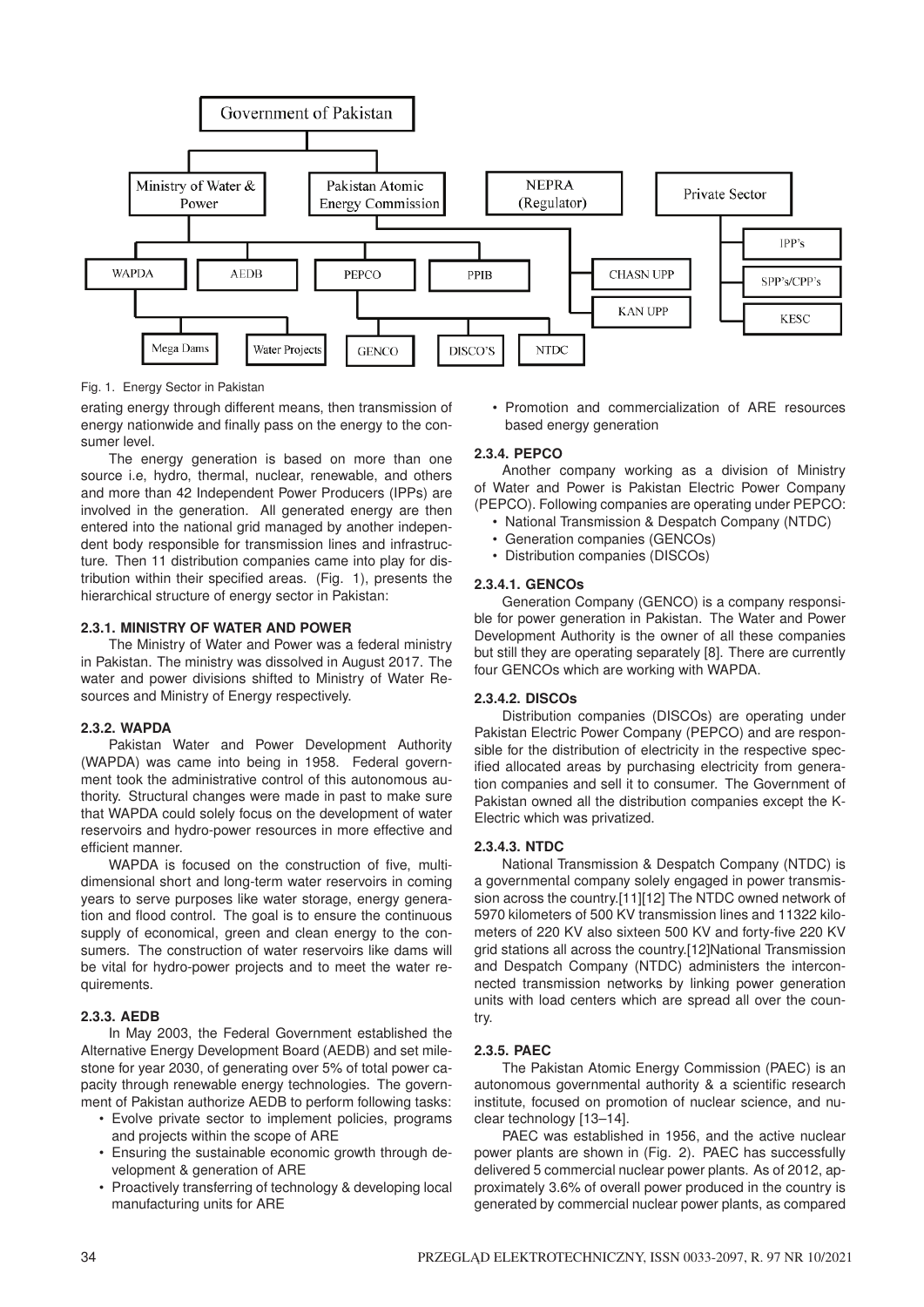

Fig. 1. Energy Sector in Pakistan

erating energy through different means, then transmission of energy nationwide and finally pass on the energy to the consumer level.

The energy generation is based on more than one source i.e, hydro, thermal, nuclear, renewable, and others and more than 42 Independent Power Producers (IPPs) are involved in the generation. All generated energy are then entered into the national grid managed by another independent body responsible for transmission lines and infrastructure. Then 11 distribution companies came into play for distribution within their specified areas. (Fig. 1), presents the hierarchical structure of energy sector in Pakistan:

## **2.3.1. MINISTRY OF WATER AND POWER**

The Ministry of Water and Power was a federal ministry in Pakistan. The ministry was dissolved in August 2017. The water and power divisions shifted to Ministry of Water Resources and Ministry of Energy respectively.

## **2.3.2. WAPDA**

Pakistan Water and Power Development Authority (WAPDA) was came into being in 1958. Federal government took the administrative control of this autonomous authority. Structural changes were made in past to make sure that WAPDA could solely focus on the development of water reservoirs and hydro-power resources in more effective and efficient manner.

WAPDA is focused on the construction of five, multidimensional short and long-term water reservoirs in coming years to serve purposes like water storage, energy generation and flood control. The goal is to ensure the continuous supply of economical, green and clean energy to the consumers. The construction of water reservoirs like dams will be vital for hydro-power projects and to meet the water requirements.

## **2.3.3. AEDB**

In May 2003, the Federal Government established the Alternative Energy Development Board (AEDB) and set milestone for year 2030, of generating over 5% of total power capacity through renewable energy technologies. The government of Pakistan authorize AEDB to perform following tasks:

- Evolve private sector to implement policies, programs and projects within the scope of ARE
- Ensuring the sustainable economic growth through development & generation of ARE
- Proactively transferring of technology & developing local manufacturing units for ARE

• Promotion and commercialization of ARE resources based energy generation

## **2.3.4. PEPCO**

Another company working as a division of Ministry of Water and Power is Pakistan Electric Power Company (PEPCO). Following companies are operating under PEPCO:

- National Transmission & Despatch Company (NTDC)
- Generation companies (GENCOs)
- Distribution companies (DISCOs)

## **2.3.4.1. GENCOs**

Generation Company (GENCO) is a company responsible for power generation in Pakistan. The Water and Power Development Authority is the owner of all these companies but still they are operating separately [8]. There are currently four GENCOs which are working with WAPDA.

## **2.3.4.2. DISCOs**

Distribution companies (DISCOs) are operating under Pakistan Electric Power Company (PEPCO) and are responsible for the distribution of electricity in the respective specified allocated areas by purchasing electricity from generation companies and sell it to consumer. The Government of Pakistan owned all the distribution companies except the K-Electric which was privatized.

# **2.3.4.3. NTDC**

National Transmission & Despatch Company (NTDC) is a governmental company solely engaged in power transmission across the country.[11][12] The NTDC owned network of 5970 kilometers of 500 KV transmission lines and 11322 kilometers of 220 KV also sixteen 500 KV and forty-five 220 KV grid stations all across the country.[12]National Transmission and Despatch Company (NTDC) administers the interconnected transmission networks by linking power generation units with load centers which are spread all over the country.

## **2.3.5. PAEC**

The Pakistan Atomic Energy Commission (PAEC) is an autonomous governmental authority & a scientific research institute, focused on promotion of nuclear science, and nuclear technology [13–14].

PAEC was established in 1956, and the active nuclear power plants are shown in (Fig. 2). PAEC has successfully delivered 5 commercial nuclear power plants. As of 2012, approximately 3.6% of overall power produced in the country is generated by commercial nuclear power plants, as compared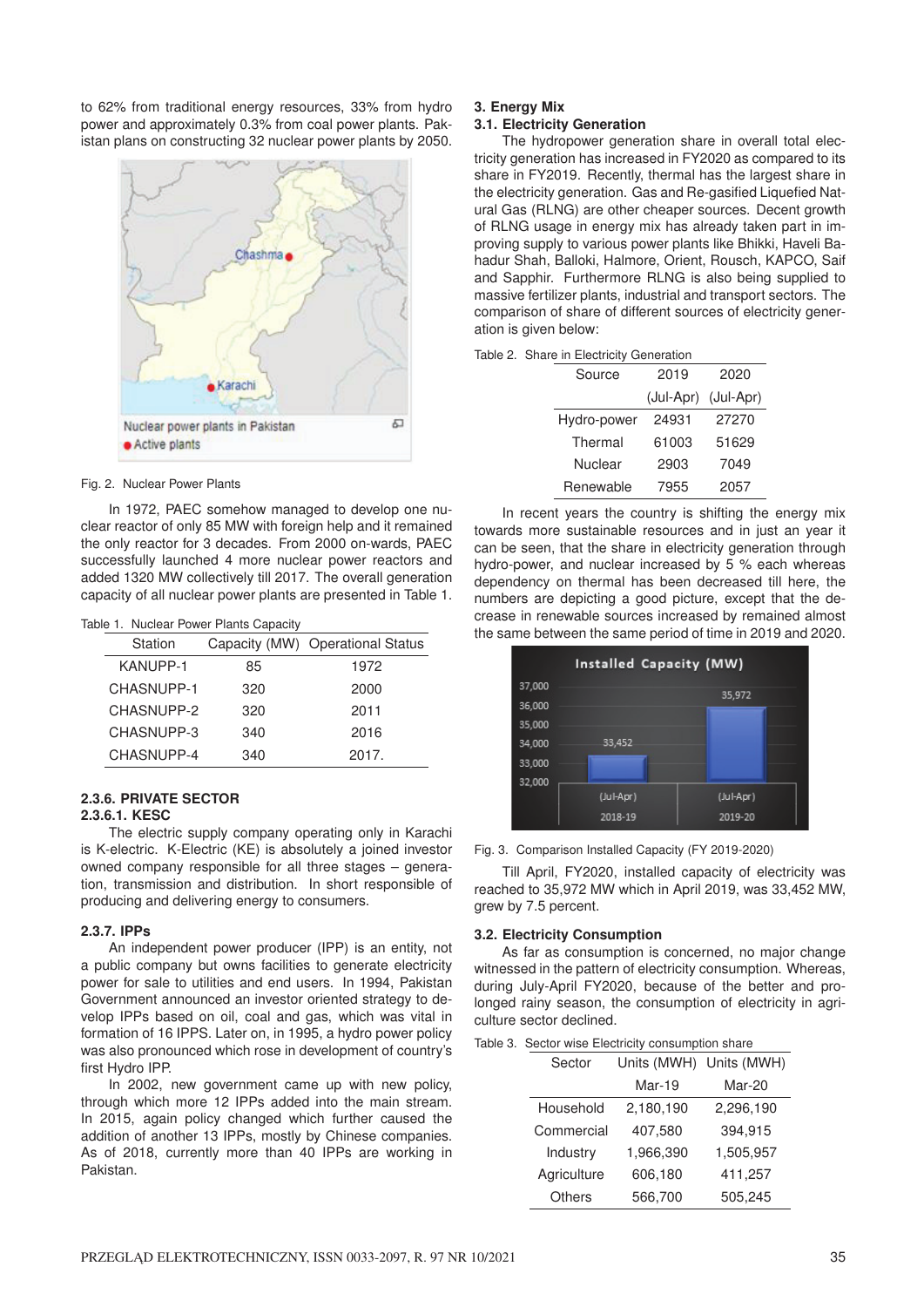to 62% from traditional energy resources, 33% from hydro power and approximately 0.3% from coal power plants. Pakistan plans on constructing 32 nuclear power plants by 2050.



#### Fig. 2. Nuclear Power Plants

In 1972, PAEC somehow managed to develop one nuclear reactor of only 85 MW with foreign help and it remained the only reactor for 3 decades. From 2000 on-wards, PAEC successfully launched 4 more nuclear power reactors and added 1320 MW collectively till 2017. The overall generation capacity of all nuclear power plants are presented in Table 1.

|  | Table 1. Nuclear Power Plants Capacity |  |  |  |  |
|--|----------------------------------------|--|--|--|--|
|--|----------------------------------------|--|--|--|--|

| Station         |     | Capacity (MW) Operational Status |
|-----------------|-----|----------------------------------|
| <b>KANUPP-1</b> | 85  | 1972                             |
| CHASNUPP-1      | 320 | 2000                             |
| CHASNUPP-2      | 320 | 2011                             |
| CHASNUPP-3      | 340 | 2016                             |
| CHASNUPP-4      | 340 | 2017.                            |

## **2.3.6. PRIVATE SECTOR**

## **2.3.6.1. KESC**

The electric supply company operating only in Karachi is K-electric. K-Electric (KE) is absolutely a joined investor owned company responsible for all three stages – generation, transmission and distribution. In short responsible of producing and delivering energy to consumers.

#### **2.3.7. IPPs**

An independent power producer (IPP) is an entity, not a public company but owns facilities to generate electricity power for sale to utilities and end users. In 1994, Pakistan Government announced an investor oriented strategy to develop IPPs based on oil, coal and gas, which was vital in formation of 16 IPPS. Later on, in 1995, a hydro power policy was also pronounced which rose in development of country's first Hydro IPP.

In 2002, new government came up with new policy, through which more 12 IPPs added into the main stream. In 2015, again policy changed which further caused the addition of another 13 IPPs, mostly by Chinese companies. As of 2018, currently more than 40 IPPs are working in Pakistan.

## **3. Energy Mix**

Table 2.

## **3.1. Electricity Generation**

The hydropower generation share in overall total electricity generation has increased in FY2020 as compared to its share in FY2019. Recently, thermal has the largest share in the electricity generation. Gas and Re-gasified Liquefied Natural Gas (RLNG) are other cheaper sources. Decent growth of RLNG usage in energy mix has already taken part in improving supply to various power plants like Bhikki, Haveli Bahadur Shah, Balloki, Halmore, Orient, Rousch, KAPCO, Saif and Sapphir. Furthermore RLNG is also being supplied to massive fertilizer plants, industrial and transport sectors. The comparison of share of different sources of electricity generation is given below:

| <b>Share in Electricity Generation</b> |                |                     |       |  |
|----------------------------------------|----------------|---------------------|-------|--|
|                                        | Source         | 2019                | 2020  |  |
|                                        |                | (Jul-Apr) (Jul-Apr) |       |  |
|                                        | Hydro-power    | 24931               | 27270 |  |
|                                        | Thermal        | 61003               | 51629 |  |
|                                        | <b>Nuclear</b> | 2903                | 7049  |  |
|                                        | Renewable      | 7955                | 2057  |  |

In recent years the country is shifting the energy mix towards more sustainable resources and in just an year it can be seen, that the share in electricity generation through hydro-power, and nuclear increased by 5 % each whereas dependency on thermal has been decreased till here, the numbers are depicting a good picture, except that the decrease in renewable sources increased by remained almost the same between the same period of time in 2019 and 2020.



Fig. 3. Comparison Installed Capacity (FY 2019-2020)

Till April, FY2020, installed capacity of electricity was reached to 35,972 MW which in April 2019, was 33,452 MW, grew by 7.5 percent.

#### **3.2. Electricity Consumption**

As far as consumption is concerned, no major change witnessed in the pattern of electricity consumption. Whereas, during July-April FY2020, because of the better and prolonged rainy season, the consumption of electricity in agriculture sector declined.

| Table 3. Sector wise Electricity consumption share |  |  |
|----------------------------------------------------|--|--|
|                                                    |  |  |

| Sector      | Units (MWH)   | Units (MWH) |
|-------------|---------------|-------------|
|             | <b>Mar-19</b> | Mar-20      |
| Household   | 2,180,190     | 2,296,190   |
| Commercial  | 407,580       | 394,915     |
| Industry    | 1,966,390     | 1,505,957   |
| Agriculture | 606,180       | 411,257     |
| Others      | 566,700       | 505,245     |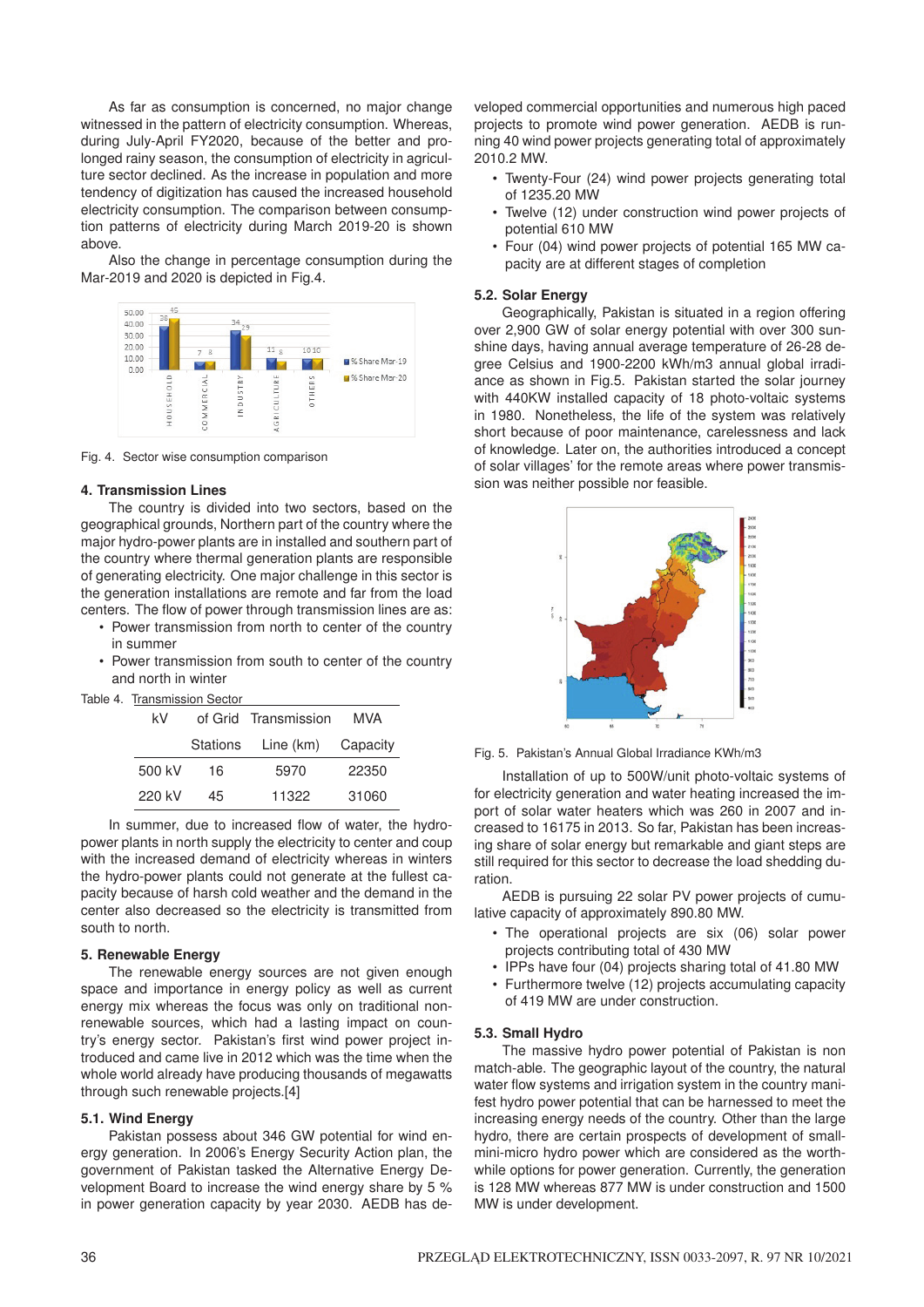As far as consumption is concerned, no major change witnessed in the pattern of electricity consumption. Whereas, during July-April FY2020, because of the better and prolonged rainy season, the consumption of electricity in agriculture sector declined. As the increase in population and more tendency of digitization has caused the increased household electricity consumption. The comparison between consumption patterns of electricity during March 2019-20 is shown above.

Also the change in percentage consumption during the Mar-2019 and 2020 is depicted in Fig.4.



Fig. 4. Sector wise consumption comparison

## **4. Transmission Lines**

The country is divided into two sectors, based on the geographical grounds, Northern part of the country where the major hydro-power plants are in installed and southern part of the country where thermal generation plants are responsible of generating electricity. One major challenge in this sector is the generation installations are remote and far from the load centers. The flow of power through transmission lines are as:

- Power transmission from north to center of the country in summer
- Power transmission from south to center of the country and north in winter

| Table 4. | Transmission Sector |  |
|----------|---------------------|--|
|          |                     |  |

| kV     |          | of Grid Transmission | MVA      |
|--------|----------|----------------------|----------|
|        | Stations | Line (km)            | Capacity |
| 500 kV | 16       | 5970                 | 22350    |
| 220 kV | 45       | 11322                | 31060    |

In summer, due to increased flow of water, the hydropower plants in north supply the electricity to center and coup with the increased demand of electricity whereas in winters the hydro-power plants could not generate at the fullest capacity because of harsh cold weather and the demand in the center also decreased so the electricity is transmitted from south to north.

## **5. Renewable Energy**

The renewable energy sources are not given enough space and importance in energy policy as well as current energy mix whereas the focus was only on traditional nonrenewable sources, which had a lasting impact on country's energy sector. Pakistan's first wind power project introduced and came live in 2012 which was the time when the whole world already have producing thousands of megawatts through such renewable projects.[4]

## **5.1. Wind Energy**

Pakistan possess about 346 GW potential for wind energy generation. In 2006's Energy Security Action plan, the government of Pakistan tasked the Alternative Energy Development Board to increase the wind energy share by 5 % in power generation capacity by year 2030. AEDB has developed commercial opportunities and numerous high paced projects to promote wind power generation. AEDB is running 40 wind power projects generating total of approximately 2010.2 MW.

- Twenty-Four (24) wind power projects generating total of 1235.20 MW
- Twelve (12) under construction wind power projects of potential 610 MW
- Four (04) wind power projects of potential 165 MW capacity are at different stages of completion

## **5.2. Solar Energy**

Geographically, Pakistan is situated in a region offering over 2,900 GW of solar energy potential with over 300 sunshine days, having annual average temperature of 26-28 degree Celsius and 1900-2200 kWh/m3 annual global irradiance as shown in Fig.5. Pakistan started the solar journey with 440KW installed capacity of 18 photo-voltaic systems in 1980. Nonetheless, the life of the system was relatively short because of poor maintenance, carelessness and lack of knowledge. Later on, the authorities introduced a concept of solar villages' for the remote areas where power transmission was neither possible nor feasible.



Fig. 5. Pakistan's Annual Global Irradiance KWh/m3

Installation of up to 500W/unit photo-voltaic systems of for electricity generation and water heating increased the import of solar water heaters which was 260 in 2007 and increased to 16175 in 2013. So far, Pakistan has been increasing share of solar energy but remarkable and giant steps are still required for this sector to decrease the load shedding duration.

AEDB is pursuing 22 solar PV power projects of cumulative capacity of approximately 890.80 MW.

- The operational projects are six (06) solar power projects contributing total of 430 MW
- IPPs have four (04) projects sharing total of 41.80 MW
- Furthermore twelve (12) projects accumulating capacity of 419 MW are under construction.

## **5.3. Small Hydro**

The massive hydro power potential of Pakistan is non match-able. The geographic layout of the country, the natural water flow systems and irrigation system in the country manifest hydro power potential that can be harnessed to meet the increasing energy needs of the country. Other than the large hydro, there are certain prospects of development of smallmini-micro hydro power which are considered as the worthwhile options for power generation. Currently, the generation is 128 MW whereas 877 MW is under construction and 1500 MW is under development.